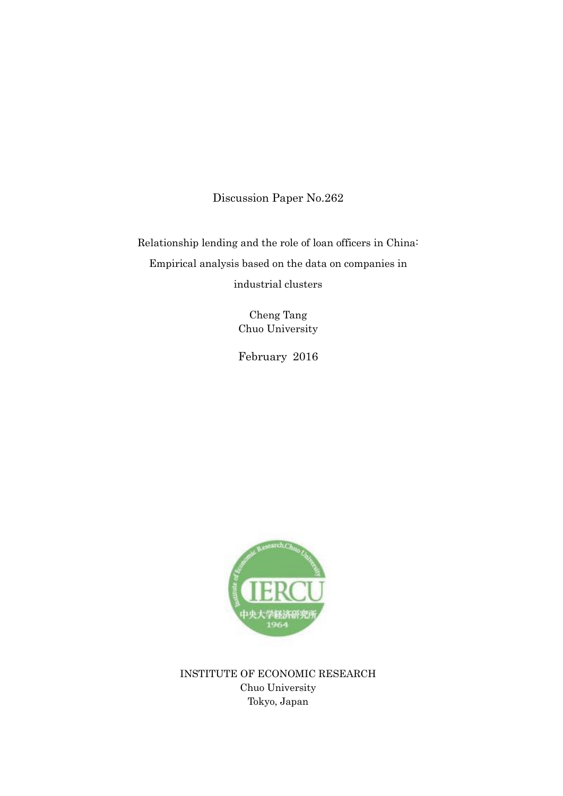Discussion Paper No.262

Relationship lending and the role of loan officers in China: Empirical analysis based on the data on companies in industrial clusters

> Cheng Tang Chuo University

> February 2016



INSTITUTE OF ECONOMIC RESEARCH Chuo University Tokyo, Japan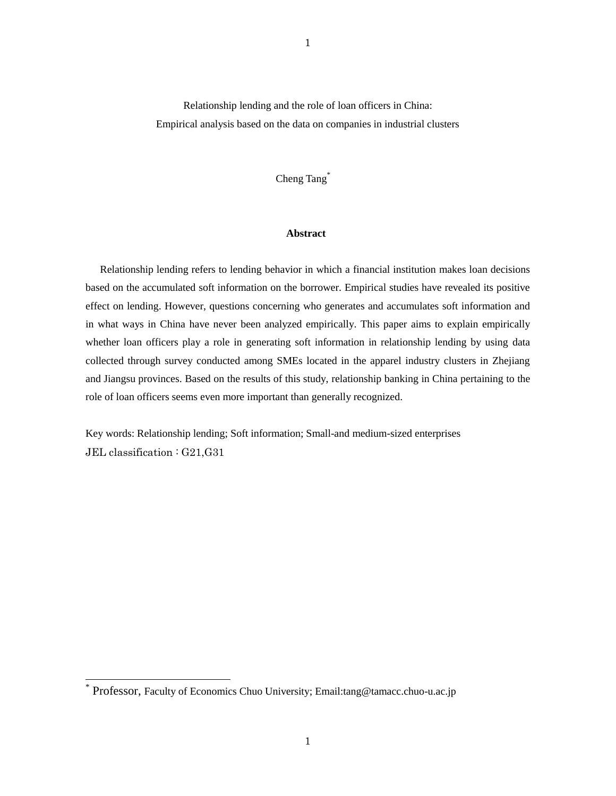Relationship lending and the role of loan officers in China: Empirical analysis based on the data on companies in industrial clusters

Cheng Tang<sup>\*</sup>

# **Abstract**

Relationship lending refers to lending behavior in which a financial institution makes loan decisions based on the accumulated soft information on the borrower. Empirical studies have revealed its positive effect on lending. However, questions concerning who generates and accumulates soft information and in what ways in China have never been analyzed empirically. This paper aims to explain empirically whether loan officers play a role in generating soft information in relationship lending by using data collected through survey conducted among SMEs located in the apparel industry clusters in Zhejiang and Jiangsu provinces. Based on the results of this study, relationship banking in China pertaining to the role of loan officers seems even more important than generally recognized.

Key words: Relationship lending; Soft information; Small-and medium-sized enterprises JEL classification : G21,G31

 $\overline{a}$ 

<sup>\*</sup> Professor, Faculty of Economics Chuo University; Email:tang@tamacc.chuo-u.ac.jp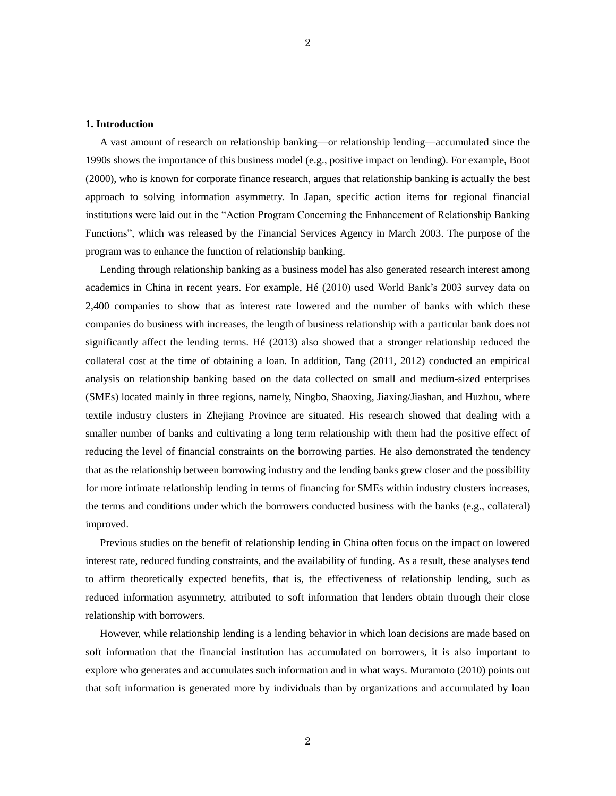#### **1. Introduction**

A vast amount of research on relationship banking—or relationship lending—accumulated since the 1990s shows the importance of this business model (e.g., positive impact on lending). For example, Boot (2000), who is known for corporate finance research, argues that relationship banking is actually the best approach to solving information asymmetry. In Japan, specific action items for regional financial institutions were laid out in the "Action Program Concerning the Enhancement of Relationship Banking Functions", which was released by the Financial Services Agency in March 2003. The purpose of the program was to enhance the function of relationship banking.

Lending through relationship banking as a business model has also generated research interest among academics in China in recent years. For example, Hé (2010) used World Bank's 2003 survey data on 2,400 companies to show that as interest rate lowered and the number of banks with which these companies do business with increases, the length of business relationship with a particular bank does not significantly affect the lending terms. Hé (2013) also showed that a stronger relationship reduced the collateral cost at the time of obtaining a loan. In addition, Tang (2011, 2012) conducted an empirical analysis on relationship banking based on the data collected on small and medium-sized enterprises (SMEs) located mainly in three regions, namely, Ningbo, Shaoxing, Jiaxing/Jiashan, and Huzhou, where textile industry clusters in Zhejiang Province are situated. His research showed that dealing with a smaller number of banks and cultivating a long term relationship with them had the positive effect of reducing the level of financial constraints on the borrowing parties. He also demonstrated the tendency that as the relationship between borrowing industry and the lending banks grew closer and the possibility for more intimate relationship lending in terms of financing for SMEs within industry clusters increases, the terms and conditions under which the borrowers conducted business with the banks (e.g., collateral) improved.

Previous studies on the benefit of relationship lending in China often focus on the impact on lowered interest rate, reduced funding constraints, and the availability of funding. As a result, these analyses tend to affirm theoretically expected benefits, that is, the effectiveness of relationship lending, such as reduced information asymmetry, attributed to soft information that lenders obtain through their close relationship with borrowers.

However, while relationship lending is a lending behavior in which loan decisions are made based on soft information that the financial institution has accumulated on borrowers, it is also important to explore who generates and accumulates such information and in what ways. Muramoto (2010) points out that soft information is generated more by individuals than by organizations and accumulated by loan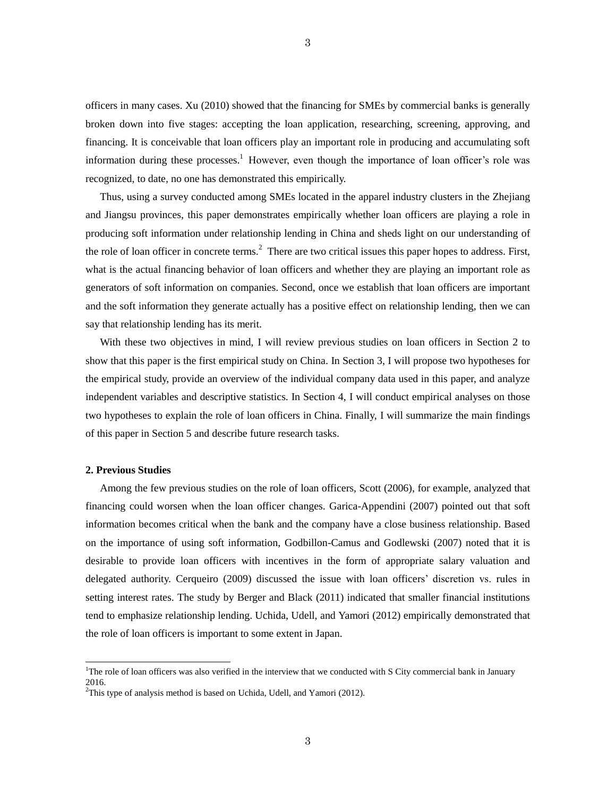officers in many cases. Xu (2010) showed that the financing for SMEs by commercial banks is generally broken down into five stages: accepting the loan application, researching, screening, approving, and financing. It is conceivable that loan officers play an important role in producing and accumulating soft information during these processes.<sup>1</sup> However, even though the importance of loan officer's role was recognized, to date, no one has demonstrated this empirically.

3

Thus, using a survey conducted among SMEs located in the apparel industry clusters in the Zhejiang and Jiangsu provinces, this paper demonstrates empirically whether loan officers are playing a role in producing soft information under relationship lending in China and sheds light on our understanding of the role of loan officer in concrete terms.<sup>2</sup> There are two critical issues this paper hopes to address. First, what is the actual financing behavior of loan officers and whether they are playing an important role as generators of soft information on companies. Second, once we establish that loan officers are important and the soft information they generate actually has a positive effect on relationship lending, then we can say that relationship lending has its merit.

With these two objectives in mind, I will review previous studies on loan officers in Section 2 to show that this paper is the first empirical study on China. In Section 3, I will propose two hypotheses for the empirical study, provide an overview of the individual company data used in this paper, and analyze independent variables and descriptive statistics. In Section 4, I will conduct empirical analyses on those two hypotheses to explain the role of loan officers in China. Finally, I will summarize the main findings of this paper in Section 5 and describe future research tasks.

# **2. Previous Studies**

 $\overline{a}$ 

Among the few previous studies on the role of loan officers, Scott (2006), for example, analyzed that financing could worsen when the loan officer changes. Garica-Appendini (2007) pointed out that soft information becomes critical when the bank and the company have a close business relationship. Based on the importance of using soft information, Godbillon-Camus and Godlewski (2007) noted that it is desirable to provide loan officers with incentives in the form of appropriate salary valuation and delegated authority. Cerqueiro (2009) discussed the issue with loan officers' discretion vs. rules in setting interest rates. The study by Berger and Black (2011) indicated that smaller financial institutions tend to emphasize relationship lending. Uchida, Udell, and Yamori (2012) empirically demonstrated that the role of loan officers is important to some extent in Japan.

<sup>&</sup>lt;sup>1</sup>The role of loan officers was also verified in the interview that we conducted with S City commercial bank in January 2016.

 $2$ This type of analysis method is based on Uchida, Udell, and Yamori (2012).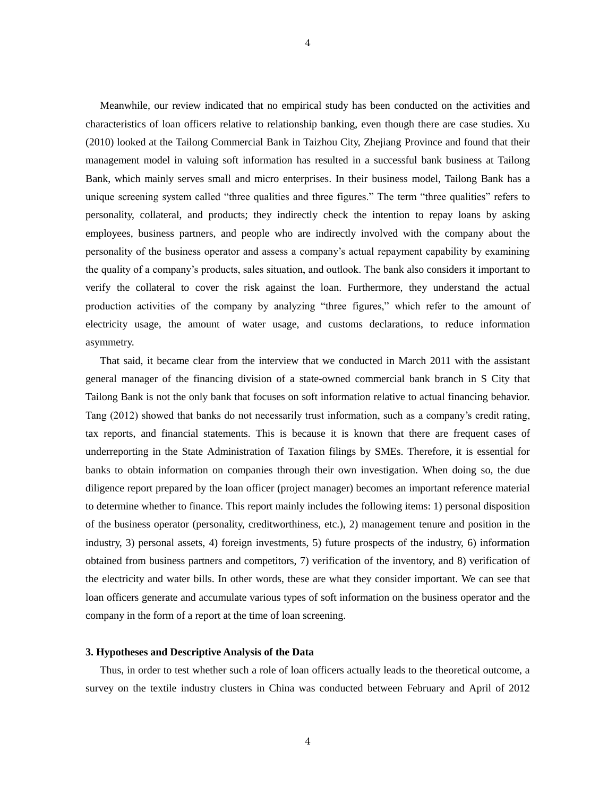Meanwhile, our review indicated that no empirical study has been conducted on the activities and characteristics of loan officers relative to relationship banking, even though there are case studies. Xu (2010) looked at the Tailong Commercial Bank in Taizhou City, Zhejiang Province and found that their management model in valuing soft information has resulted in a successful bank business at Tailong Bank, which mainly serves small and micro enterprises. In their business model, Tailong Bank has a unique screening system called "three qualities and three figures." The term "three qualities" refers to personality, collateral, and products; they indirectly check the intention to repay loans by asking employees, business partners, and people who are indirectly involved with the company about the personality of the business operator and assess a company's actual repayment capability by examining the quality of a company's products, sales situation, and outlook. The bank also considers it important to verify the collateral to cover the risk against the loan. Furthermore, they understand the actual production activities of the company by analyzing "three figures," which refer to the amount of electricity usage, the amount of water usage, and customs declarations, to reduce information asymmetry.

That said, it became clear from the interview that we conducted in March 2011 with the assistant general manager of the financing division of a state-owned commercial bank branch in S City that Tailong Bank is not the only bank that focuses on soft information relative to actual financing behavior. Tang (2012) showed that banks do not necessarily trust information, such as a company's credit rating, tax reports, and financial statements. This is because it is known that there are frequent cases of underreporting in the State Administration of Taxation filings by SMEs. Therefore, it is essential for banks to obtain information on companies through their own investigation. When doing so, the due diligence report prepared by the loan officer (project manager) becomes an important reference material to determine whether to finance. This report mainly includes the following items: 1) personal disposition of the business operator (personality, creditworthiness, etc.), 2) management tenure and position in the industry, 3) personal assets, 4) foreign investments, 5) future prospects of the industry, 6) information obtained from business partners and competitors, 7) verification of the inventory, and 8) verification of the electricity and water bills. In other words, these are what they consider important. We can see that loan officers generate and accumulate various types of soft information on the business operator and the company in the form of a report at the time of loan screening.

### **3. Hypotheses and Descriptive Analysis of the Data**

Thus, in order to test whether such a role of loan officers actually leads to the theoretical outcome, a survey on the textile industry clusters in China was conducted between February and April of 2012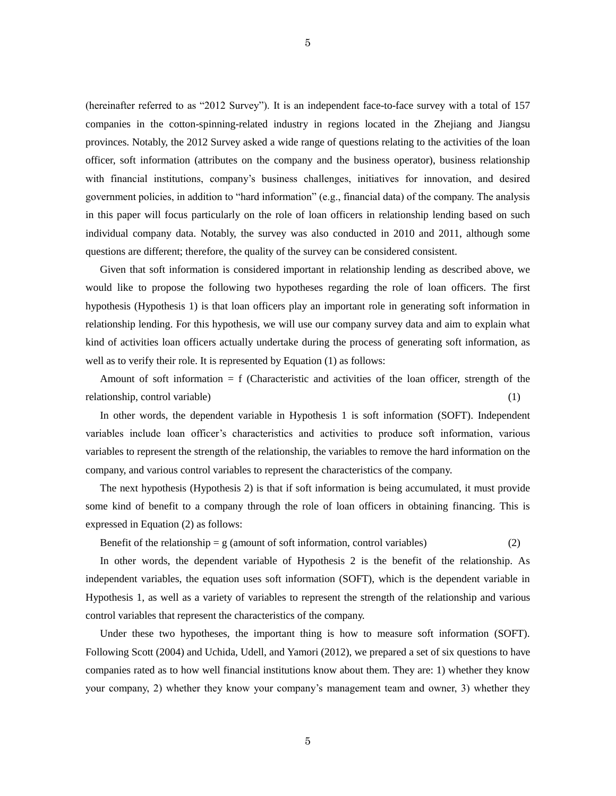(hereinafter referred to as "2012 Survey"). It is an independent face-to-face survey with a total of 157 companies in the cotton-spinning-related industry in regions located in the Zhejiang and Jiangsu provinces. Notably, the 2012 Survey asked a wide range of questions relating to the activities of the loan officer, soft information (attributes on the company and the business operator), business relationship with financial institutions, company's business challenges, initiatives for innovation, and desired government policies, in addition to "hard information" (e.g., financial data) of the company. The analysis in this paper will focus particularly on the role of loan officers in relationship lending based on such individual company data. Notably, the survey was also conducted in 2010 and 2011, although some questions are different; therefore, the quality of the survey can be considered consistent.

Given that soft information is considered important in relationship lending as described above, we would like to propose the following two hypotheses regarding the role of loan officers. The first hypothesis (Hypothesis 1) is that loan officers play an important role in generating soft information in relationship lending. For this hypothesis, we will use our company survey data and aim to explain what kind of activities loan officers actually undertake during the process of generating soft information, as well as to verify their role. It is represented by Equation (1) as follows:

Amount of soft information  $= f$  (Characteristic and activities of the loan officer, strength of the relationship, control variable) (1) (1)

In other words, the dependent variable in Hypothesis 1 is soft information (SOFT). Independent variables include loan officer's characteristics and activities to produce soft information, various variables to represent the strength of the relationship, the variables to remove the hard information on the company, and various control variables to represent the characteristics of the company.

The next hypothesis (Hypothesis 2) is that if soft information is being accumulated, it must provide some kind of benefit to a company through the role of loan officers in obtaining financing. This is expressed in Equation (2) as follows:

Benefit of the relationship  $= g$  (amount of soft information, control variables) (2)

In other words, the dependent variable of Hypothesis 2 is the benefit of the relationship. As independent variables, the equation uses soft information (SOFT), which is the dependent variable in Hypothesis 1, as well as a variety of variables to represent the strength of the relationship and various control variables that represent the characteristics of the company.

Under these two hypotheses, the important thing is how to measure soft information (SOFT). Following Scott (2004) and Uchida, Udell, and Yamori (2012), we prepared a set of six questions to have companies rated as to how well financial institutions know about them. They are: 1) whether they know your company, 2) whether they know your company's management team and owner, 3) whether they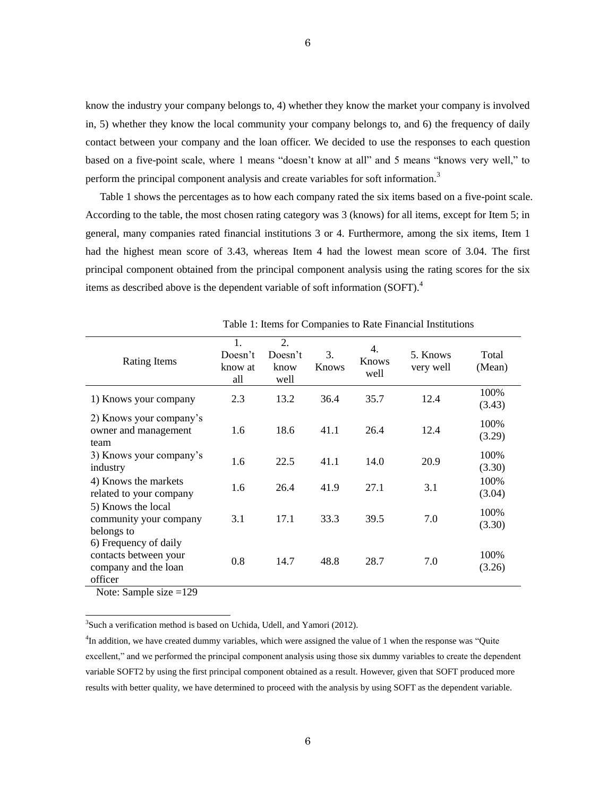know the industry your company belongs to, 4) whether they know the market your company is involved in, 5) whether they know the local community your company belongs to, and 6) the frequency of daily contact between your company and the loan officer. We decided to use the responses to each question based on a five-point scale, where 1 means "doesn't know at all" and 5 means "knows very well," to perform the principal component analysis and create variables for soft information.<sup>3</sup>

Table 1 shows the percentages as to how each company rated the six items based on a five-point scale. According to the table, the most chosen rating category was 3 (knows) for all items, except for Item 5; in general, many companies rated financial institutions 3 or 4. Furthermore, among the six items, Item 1 had the highest mean score of 3.43, whereas Item 4 had the lowest mean score of 3.04. The first principal component obtained from the principal component analysis using the rating scores for the six items as described above is the dependent variable of soft information (SOFT).<sup>4</sup>

| Rating Items                                                                      | 1.<br>Doesn't<br>know at<br>all | 2.<br>Doesn't<br>know<br>well | 3.<br>Knows | 4.<br><b>Knows</b><br>well | 5. Knows<br>very well | Total<br>(Mean) |
|-----------------------------------------------------------------------------------|---------------------------------|-------------------------------|-------------|----------------------------|-----------------------|-----------------|
| 1) Knows your company                                                             | 2.3                             | 13.2                          | 36.4        | 35.7                       | 12.4                  | 100%<br>(3.43)  |
| 2) Knows your company's<br>owner and management<br>team                           | 1.6                             | 18.6                          | 41.1        | 26.4                       | 12.4                  | 100%<br>(3.29)  |
| 3) Knows your company's<br>industry                                               | 1.6                             | 22.5                          | 41.1        | 14.0                       | 20.9                  | 100%<br>(3.30)  |
| 4) Knows the markets<br>related to your company                                   | 1.6                             | 26.4                          | 41.9        | 27.1                       | 3.1                   | 100%<br>(3.04)  |
| 5) Knows the local<br>community your company<br>belongs to                        | 3.1                             | 17.1                          | 33.3        | 39.5                       | 7.0                   | 100%<br>(3.30)  |
| 6) Frequency of daily<br>contacts between your<br>company and the loan<br>officer | 0.8                             | 14.7                          | 48.8        | 28.7                       | 7.0                   | 100%<br>(3.26)  |

Table 1: Items for Companies to Rate Financial Institutions

Note: Sample size =129

 $\overline{a}$ 

 $3$ Such a verification method is based on Uchida, Udell, and Yamori (2012).

<sup>4</sup>In addition, we have created dummy variables, which were assigned the value of 1 when the response was "Quite excellent," and we performed the principal component analysis using those six dummy variables to create the dependent variable SOFT2 by using the first principal component obtained as a result. However, given that SOFT produced more results with better quality, we have determined to proceed with the analysis by using SOFT as the dependent variable.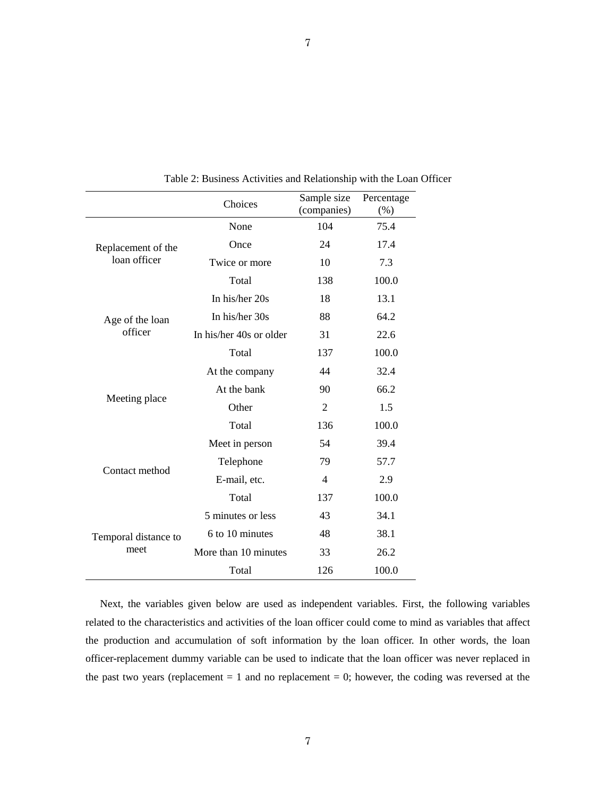|                      | Choices                 | Sample size<br>(companies) | Percentage<br>(% ) |
|----------------------|-------------------------|----------------------------|--------------------|
|                      | None                    | 104                        | 75.4               |
| Replacement of the   | Once                    | 24                         | 17.4               |
| loan officer         | Twice or more           | 10                         | 7.3                |
|                      | Total                   | 138                        | 100.0              |
|                      | In his/her 20s          | 18                         | 13.1               |
| Age of the loan      | In his/her 30s          | 88                         | 64.2               |
| officer              | In his/her 40s or older | 31                         | 22.6               |
|                      | Total                   | 137                        | 100.0              |
|                      | At the company          | 44                         | 32.4               |
|                      | At the bank             | 90                         | 66.2               |
| Meeting place        | Other                   | $\mathfrak{D}$             | 1.5                |
|                      | Total                   | 136                        | 100.0              |
|                      | Meet in person          | 54                         | 39.4               |
|                      | Telephone               | 79                         | 57.7               |
| Contact method       | E-mail, etc.            | $\overline{4}$             | 2.9                |
|                      | Total                   | 137                        | 100.0              |
|                      | 5 minutes or less       | 43                         | 34.1               |
| Temporal distance to | 6 to 10 minutes         | 48                         | 38.1               |
| meet                 | More than 10 minutes    | 33                         | 26.2               |
|                      | Total                   | 126                        | 100.0              |

Table 2: Business Activities and Relationship with the Loan Officer

Next, the variables given below are used as independent variables. First, the following variables related to the characteristics and activities of the loan officer could come to mind as variables that affect the production and accumulation of soft information by the loan officer. In other words, the loan officer-replacement dummy variable can be used to indicate that the loan officer was never replaced in the past two years (replacement  $= 1$  and no replacement  $= 0$ ; however, the coding was reversed at the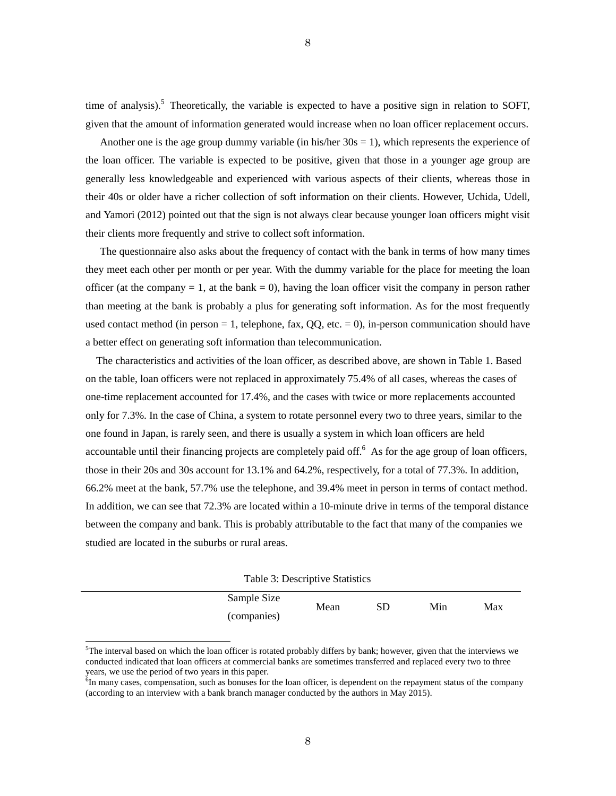time of analysis).<sup>5</sup> Theoretically, the variable is expected to have a positive sign in relation to SOFT, given that the amount of information generated would increase when no loan officer replacement occurs.

Another one is the age group dummy variable (in his/her  $30s = 1$ ), which represents the experience of the loan officer. The variable is expected to be positive, given that those in a younger age group are generally less knowledgeable and experienced with various aspects of their clients, whereas those in their 40s or older have a richer collection of soft information on their clients. However, Uchida, Udell, and Yamori (2012) pointed out that the sign is not always clear because younger loan officers might visit their clients more frequently and strive to collect soft information.

The questionnaire also asks about the frequency of contact with the bank in terms of how many times they meet each other per month or per year. With the dummy variable for the place for meeting the loan officer (at the company  $= 1$ , at the bank  $= 0$ ), having the loan officer visit the company in person rather than meeting at the bank is probably a plus for generating soft information. As for the most frequently used contact method (in person  $= 1$ , telephone, fax, QQ, etc.  $= 0$ ), in-person communication should have a better effect on generating soft information than telecommunication.

The characteristics and activities of the loan officer, as described above, are shown in Table 1. Based on the table, loan officers were not replaced in approximately 75.4% of all cases, whereas the cases of one-time replacement accounted for 17.4%, and the cases with twice or more replacements accounted only for 7.3%. In the case of China, a system to rotate personnel every two to three years, similar to the one found in Japan, is rarely seen, and there is usually a system in which loan officers are held accountable until their financing projects are completely paid off.<sup>6</sup> As for the age group of loan officers, those in their 20s and 30s account for 13.1% and 64.2%, respectively, for a total of 77.3%. In addition, 66.2% meet at the bank, 57.7% use the telephone, and 39.4% meet in person in terms of contact method. In addition, we can see that 72.3% are located within a 10-minute drive in terms of the temporal distance between the company and bank. This is probably attributable to the fact that many of the companies we studied are located in the suburbs or rural areas.

Table 3: Descriptive Statistics

| Sample Size | Mean | SD | Min | Max |
|-------------|------|----|-----|-----|
| (companies) |      |    |     |     |

 $5$ The interval based on which the loan officer is rotated probably differs by bank; however, given that the interviews we conducted indicated that loan officers at commercial banks are sometimes transferred and replaced every two to three years, we use the period of two years in this paper.

 $\overline{a}$ 

<sup>&</sup>lt;sup>6</sup>In many cases, compensation, such as bonuses for the loan officer, is dependent on the repayment status of the company (according to an interview with a bank branch manager conducted by the authors in May 2015).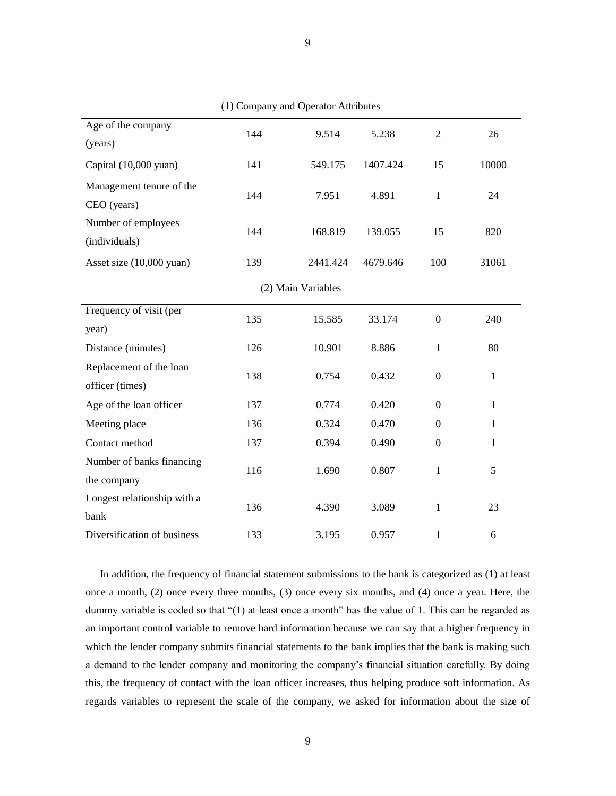| (1) Company and Operator Attributes        |     |                    |          |                  |              |
|--------------------------------------------|-----|--------------------|----------|------------------|--------------|
| Age of the company<br>(years)              | 144 | 9.514              | 5.238    | $\mathfrak{2}$   | 26           |
| Capital (10,000 yuan)                      | 141 | 549.175            | 1407.424 | 15               | 10000        |
| Management tenure of the<br>CEO (years)    | 144 | 7.951              | 4.891    | $\mathbf{1}$     | 24           |
| Number of employees<br>(individuals)       | 144 | 168.819            | 139.055  | 15               | 820          |
| Asset size (10,000 yuan)                   | 139 | 2441.424           | 4679.646 | 100              | 31061        |
|                                            |     | (2) Main Variables |          |                  |              |
| Frequency of visit (per<br>year)           | 135 | 15.585             | 33.174   | $\overline{0}$   | 240          |
| Distance (minutes)                         | 126 | 10.901             | 8.886    | $\mathbf{1}$     | 80           |
| Replacement of the loan<br>officer (times) | 138 | 0.754              | 0.432    | $\boldsymbol{0}$ | $\mathbf{1}$ |
| Age of the loan officer                    | 137 | 0.774              | 0.420    | $\mathbf{0}$     | $\mathbf{1}$ |
| Meeting place                              | 136 | 0.324              | 0.470    | $\boldsymbol{0}$ | $\mathbf{1}$ |
| Contact method                             | 137 | 0.394              | 0.490    | $\boldsymbol{0}$ | 1            |
| Number of banks financing<br>the company   | 116 | 1.690              | 0.807    | $\mathbf{1}$     | 5            |
| Longest relationship with a<br>bank        | 136 | 4.390              | 3.089    | $\mathbf{1}$     | 23           |
| Diversification of business                | 133 | 3.195              | 0.957    | $\mathbf{1}$     | 6            |

In addition, the frequency of financial statement submissions to the bank is categorized as (1) at least once a month, (2) once every three months, (3) once every six months, and (4) once a year. Here, the dummy variable is coded so that "(1) at least once a month" has the value of 1. This can be regarded as an important control variable to remove hard information because we can say that a higher frequency in which the lender company submits financial statements to the bank implies that the bank is making such a demand to the lender company and monitoring the company's financial situation carefully. By doing this, the frequency of contact with the loan officer increases, thus helping produce soft information. As regards variables to represent the scale of the company, we asked for information about the size of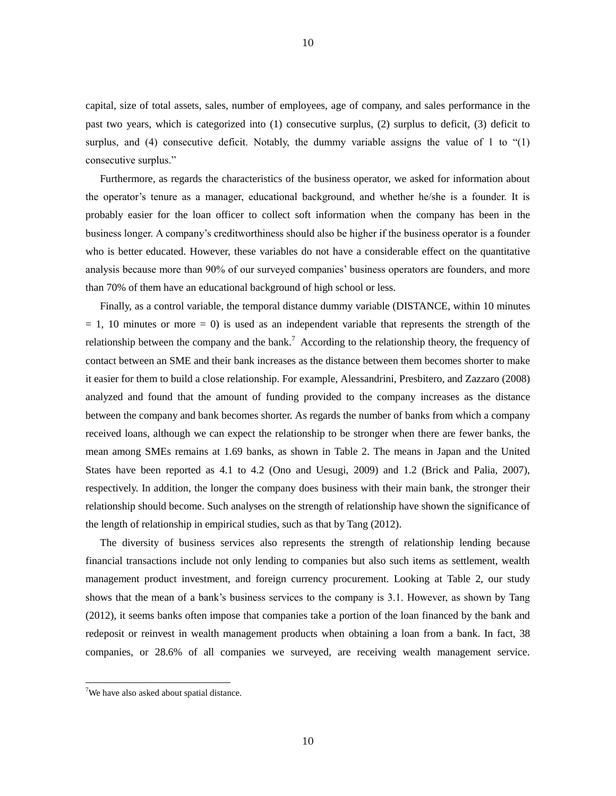capital, size of total assets, sales, number of employees, age of company, and sales performance in the past two years, which is categorized into (1) consecutive surplus, (2) surplus to deficit, (3) deficit to surplus, and  $(4)$  consecutive deficit. Notably, the dummy variable assigns the value of 1 to " $(1)$ " consecutive surplus."

Furthermore, as regards the characteristics of the business operator, we asked for information about the operator's tenure as a manager, educational background, and whether he/she is a founder. It is probably easier for the loan officer to collect soft information when the company has been in the business longer. A company's creditworthiness should also be higher if the business operator is a founder who is better educated. However, these variables do not have a considerable effect on the quantitative analysis because more than 90% of our surveyed companies' business operators are founders, and more than 70% of them have an educational background of high school or less.

Finally, as a control variable, the temporal distance dummy variable (DISTANCE, within 10 minutes  $= 1$ , 10 minutes or more  $= 0$ ) is used as an independent variable that represents the strength of the relationship between the company and the bank.<sup>7</sup> According to the relationship theory, the frequency of contact between an SME and their bank increases as the distance between them becomes shorter to make it easier for them to build a close relationship. For example, Alessandrini, Presbitero, and Zazzaro (2008) analyzed and found that the amount of funding provided to the company increases as the distance between the company and bank becomes shorter. As regards the number of banks from which a company received loans, although we can expect the relationship to be stronger when there are fewer banks, the mean among SMEs remains at 1.69 banks, as shown in Table 2. The means in Japan and the United States have been reported as 4.1 to 4.2 (Ono and Uesugi, 2009) and 1.2 (Brick and Palia, 2007), respectively. In addition, the longer the company does business with their main bank, the stronger their relationship should become. Such analyses on the strength of relationship have shown the significance of the length of relationship in empirical studies, such as that by Tang (2012).

The diversity of business services also represents the strength of relationship lending because financial transactions include not only lending to companies but also such items as settlement, wealth management product investment, and foreign currency procurement. Looking at Table 2, our study shows that the mean of a bank's business services to the company is 3.1. However, as shown by Tang (2012), it seems banks often impose that companies take a portion of the loan financed by the bank and redeposit or reinvest in wealth management products when obtaining a loan from a bank. In fact, 38 companies, or 28.6% of all companies we surveyed, are receiving wealth management service.

 $\overline{a}$ 

10

<sup>&</sup>lt;sup>7</sup>We have also asked about spatial distance.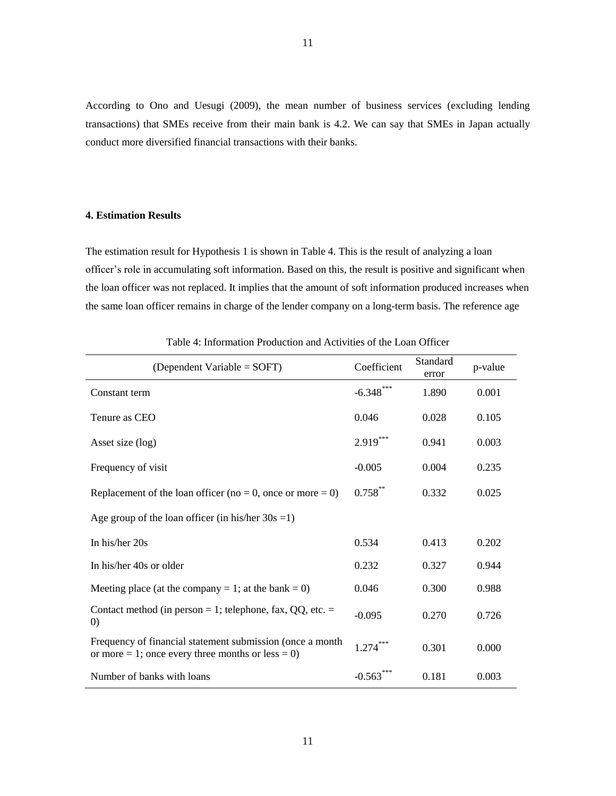According to Ono and Uesugi (2009), the mean number of business services (excluding lending transactions) that SMEs receive from their main bank is 4.2. We can say that SMEs in Japan actually conduct more diversified financial transactions with their banks.

# **4. Estimation Results**

The estimation result for Hypothesis 1 is shown in Table 4. This is the result of analyzing a loan officer's role in accumulating soft information. Based on this, the result is positive and significant when the loan officer was not replaced. It implies that the amount of soft information produced increases when the same loan officer remains in charge of the lender company on a long-term basis. The reference age

| (Dependent Variable = $S\text{OFT}$ )                                                                          | Coefficient | Standard<br>error | p-value |
|----------------------------------------------------------------------------------------------------------------|-------------|-------------------|---------|
| Constant term                                                                                                  | $-6.348***$ | 1.890             | 0.001   |
| Tenure as CEO                                                                                                  | 0.046       | 0.028             | 0.105   |
| Asset size (log)                                                                                               | $2.919***$  | 0.941             | 0.003   |
| Frequency of visit                                                                                             | $-0.005$    | 0.004             | 0.235   |
| Replacement of the loan officer (no = 0, once or more = 0)                                                     | $0.758***$  | 0.332             | 0.025   |
| Age group of the loan officer (in his/her $30s = 1$ )                                                          |             |                   |         |
| In his/her 20s                                                                                                 | 0.534       | 0.413             | 0.202   |
| In his/her 40s or older                                                                                        | 0.232       | 0.327             | 0.944   |
| Meeting place (at the company = 1; at the bank = 0)                                                            | 0.046       | 0.300             | 0.988   |
| Contact method (in person = 1; telephone, fax, $QQ$ , etc. =<br>$\left( 0\right)$                              | $-0.095$    | 0.270             | 0.726   |
| Frequency of financial statement submission (once a month<br>or more = 1; once every three months or less = 0) | $1.274***$  | 0.301             | 0.000   |
| Number of banks with loans                                                                                     | $-0.563$    | 0.181             | 0.003   |

Table 4: Information Production and Activities of the Loan Officer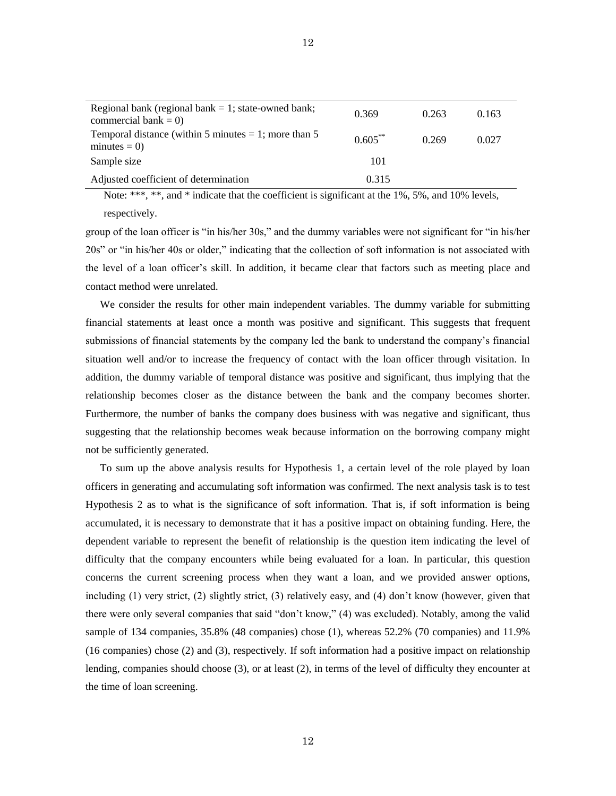| Regional bank (regional bank $= 1$ ; state-owned bank;<br>commercial bank = $0$ ) | 0.369      | 0.263 | 0.163 |
|-----------------------------------------------------------------------------------|------------|-------|-------|
| Temporal distance (within 5 minutes $= 1$ ; more than 5<br>$minutes = 0$          | $0.605***$ | 0.269 | 0.027 |
| Sample size                                                                       | 101        |       |       |
| Adjusted coefficient of determination                                             | 0.315      |       |       |

Note: \*\*\*, \*\*, and \* indicate that the coefficient is significant at the 1%, 5%, and 10% levels,

respectively.

group of the loan officer is "in his/her 30s," and the dummy variables were not significant for "in his/her 20s" or "in his/her 40s or older," indicating that the collection of soft information is not associated with the level of a loan officer's skill. In addition, it became clear that factors such as meeting place and contact method were unrelated.

We consider the results for other main independent variables. The dummy variable for submitting financial statements at least once a month was positive and significant. This suggests that frequent submissions of financial statements by the company led the bank to understand the company's financial situation well and/or to increase the frequency of contact with the loan officer through visitation. In addition, the dummy variable of temporal distance was positive and significant, thus implying that the relationship becomes closer as the distance between the bank and the company becomes shorter. Furthermore, the number of banks the company does business with was negative and significant, thus suggesting that the relationship becomes weak because information on the borrowing company might not be sufficiently generated.

To sum up the above analysis results for Hypothesis 1, a certain level of the role played by loan officers in generating and accumulating soft information was confirmed. The next analysis task is to test Hypothesis 2 as to what is the significance of soft information. That is, if soft information is being accumulated, it is necessary to demonstrate that it has a positive impact on obtaining funding. Here, the dependent variable to represent the benefit of relationship is the question item indicating the level of difficulty that the company encounters while being evaluated for a loan. In particular, this question concerns the current screening process when they want a loan, and we provided answer options, including (1) very strict, (2) slightly strict, (3) relatively easy, and (4) don't know (however, given that there were only several companies that said "don't know," (4) was excluded). Notably, among the valid sample of 134 companies, 35.8% (48 companies) chose (1), whereas 52.2% (70 companies) and 11.9% (16 companies) chose (2) and (3), respectively. If soft information had a positive impact on relationship lending, companies should choose (3), or at least (2), in terms of the level of difficulty they encounter at the time of loan screening.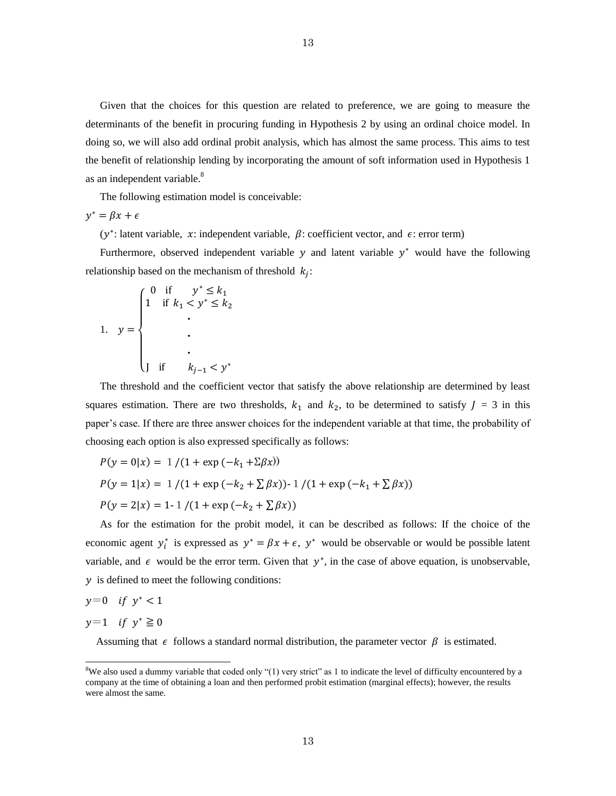Given that the choices for this question are related to preference, we are going to measure the determinants of the benefit in procuring funding in Hypothesis 2 by using an ordinal choice model. In doing so, we will also add ordinal probit analysis, which has almost the same process. This aims to test the benefit of relationship lending by incorporating the amount of soft information used in Hypothesis 1 as an independent variable.<sup>8</sup>

The following estimation model is conceivable:

 $y^*$ 

( $y^*$ : latent variable, x: independent variable,  $\beta$ : coefficient vector, and  $\epsilon$ : error term)

Furthermore, observed independent variable  $y$  and latent variable  $y^*$  would have the following relationship based on the mechanism of threshold  $k<sub>i</sub>$ :

1. ・ ・ ・ 

The threshold and the coefficient vector that satisfy the above relationship are determined by least squares estimation. There are two thresholds,  $k_1$  and  $k_2$ , to be determined to satisfy  $J = 3$  in this paper's case. If there are three answer choices for the independent variable at that time, the probability of choosing each option is also expressed specifically as follows:

$$
P(y = 0|x) = 1 / (1 + \exp(-k_1 + \Sigma \beta x))
$$
  
\n
$$
P(y = 1|x) = 1 / (1 + \exp(-k_2 + \Sigma \beta x)) - 1 / (1 + \exp(-k_1 + \Sigma \beta x))
$$
  
\n
$$
P(y = 2|x) = 1 - 1 / (1 + \exp(-k_2 + \Sigma \beta x))
$$

As for the estimation for the probit model, it can be described as follows: If the choice of the economic agent  $y_i^*$  is expressed as  $y^* = \beta x + \epsilon$ ,  $y^*$  would be observable or would be possible latent variable, and  $\epsilon$  would be the error term. Given that  $y^*$ , in the case of above equation, is unobservable,  $\gamma$  is defined to meet the following conditions:

$$
y=0 \quad \text{if} \ \ y^*<1
$$

$$
y=1 \quad \text{if } y^* \ge 0
$$

 $\overline{a}$ 

Assuming that  $\epsilon$  follows a standard normal distribution, the parameter vector  $\beta$  is estimated.

 ${}^{8}$ We also used a dummy variable that coded only "(1) very strict" as 1 to indicate the level of difficulty encountered by a company at the time of obtaining a loan and then performed probit estimation (marginal effects); however, the results were almost the same.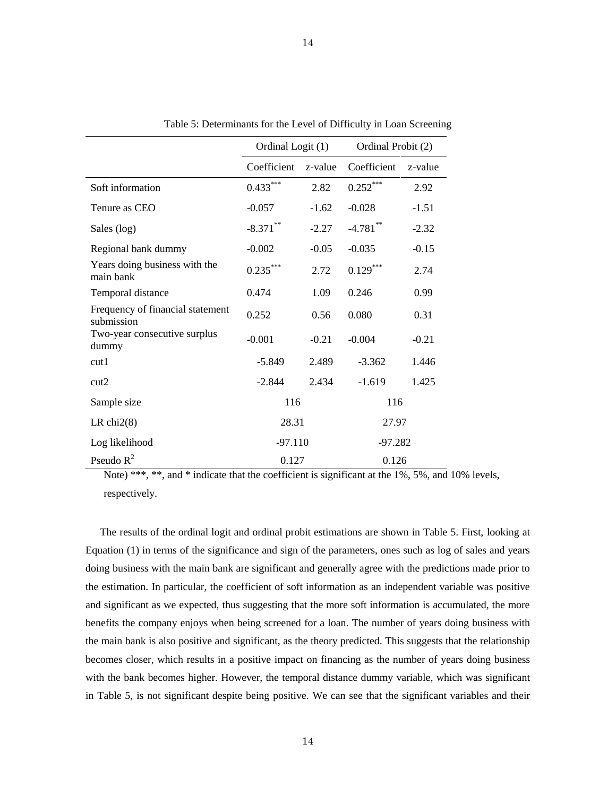|                                                | Ordinal Logit (1) |         | Ordinal Probit (2) |         |
|------------------------------------------------|-------------------|---------|--------------------|---------|
|                                                | Coefficient       | z-value | Coefficient        | z-value |
| Soft information                               | $0.433***$        | 2.82    | $0.252***$         | 2.92    |
| Tenure as CEO                                  | $-0.057$          | $-1.62$ | $-0.028$           | $-1.51$ |
| Sales (log)                                    | $-8.371$ **       | $-2.27$ | $-4.781$ **        | $-2.32$ |
| Regional bank dummy                            | $-0.002$          | $-0.05$ | $-0.035$           | $-0.15$ |
| Years doing business with the<br>main bank     | $0.235***$        | 2.72    | $0.129***$         | 2.74    |
| Temporal distance                              | 0.474             | 1.09    | 0.246              | 0.99    |
| Frequency of financial statement<br>submission | 0.252             | 0.56    | 0.080              | 0.31    |
| Two-year consecutive surplus<br>dummy          | $-0.001$          | $-0.21$ | $-0.004$           | $-0.21$ |
| cut1                                           | $-5.849$          | 2.489   | $-3.362$           | 1.446   |
| cut2                                           | $-2.844$          | 2.434   | $-1.619$           | 1.425   |
| Sample size                                    | 116               |         | 116                |         |
| LR $chi2(8)$                                   | 28.31             |         | 27.97              |         |
| Log likelihood                                 | $-97.110$         |         | $-97.282$          |         |
| Pseudo $R^2$                                   | 0.127             |         | 0.126              |         |

Table 5: Determinants for the Level of Difficulty in Loan Screening

Note) \*\*\*, \*\*, and \* indicate that the coefficient is significant at the 1%, 5%, and 10% levels, respectively.

The results of the ordinal logit and ordinal probit estimations are shown in Table 5. First, looking at Equation (1) in terms of the significance and sign of the parameters, ones such as log of sales and years doing business with the main bank are significant and generally agree with the predictions made prior to the estimation. In particular, the coefficient of soft information as an independent variable was positive and significant as we expected, thus suggesting that the more soft information is accumulated, the more benefits the company enjoys when being screened for a loan. The number of years doing business with the main bank is also positive and significant, as the theory predicted. This suggests that the relationship becomes closer, which results in a positive impact on financing as the number of years doing business with the bank becomes higher. However, the temporal distance dummy variable, which was significant in Table 5, is not significant despite being positive. We can see that the significant variables and their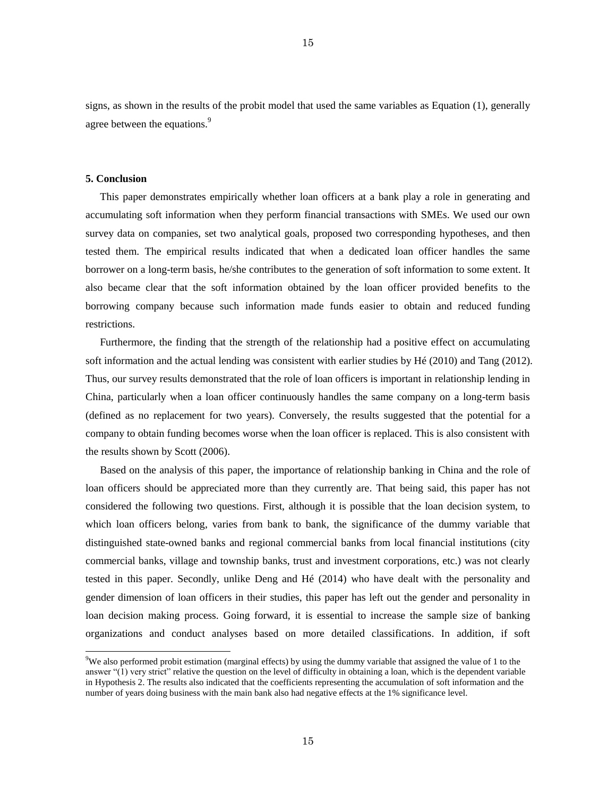signs, as shown in the results of the probit model that used the same variables as Equation (1), generally agree between the equations.<sup>9</sup>

### **5. Conclusion**

 $\overline{a}$ 

This paper demonstrates empirically whether loan officers at a bank play a role in generating and accumulating soft information when they perform financial transactions with SMEs. We used our own survey data on companies, set two analytical goals, proposed two corresponding hypotheses, and then tested them. The empirical results indicated that when a dedicated loan officer handles the same borrower on a long-term basis, he/she contributes to the generation of soft information to some extent. It also became clear that the soft information obtained by the loan officer provided benefits to the borrowing company because such information made funds easier to obtain and reduced funding restrictions.

Furthermore, the finding that the strength of the relationship had a positive effect on accumulating soft information and the actual lending was consistent with earlier studies by Hé (2010) and Tang (2012). Thus, our survey results demonstrated that the role of loan officers is important in relationship lending in China, particularly when a loan officer continuously handles the same company on a long-term basis (defined as no replacement for two years). Conversely, the results suggested that the potential for a company to obtain funding becomes worse when the loan officer is replaced. This is also consistent with the results shown by Scott (2006).

Based on the analysis of this paper, the importance of relationship banking in China and the role of loan officers should be appreciated more than they currently are. That being said, this paper has not considered the following two questions. First, although it is possible that the loan decision system, to which loan officers belong, varies from bank to bank, the significance of the dummy variable that distinguished state-owned banks and regional commercial banks from local financial institutions (city commercial banks, village and township banks, trust and investment corporations, etc.) was not clearly tested in this paper. Secondly, unlike Deng and Hé (2014) who have dealt with the personality and gender dimension of loan officers in their studies, this paper has left out the gender and personality in loan decision making process. Going forward, it is essential to increase the sample size of banking organizations and conduct analyses based on more detailed classifications. In addition, if soft

 $9W$ e also performed probit estimation (marginal effects) by using the dummy variable that assigned the value of 1 to the answer "(1) very strict" relative the question on the level of difficulty in obtaining a loan, which is the dependent variable in Hypothesis 2. The results also indicated that the coefficients representing the accumulation of soft information and the number of years doing business with the main bank also had negative effects at the 1% significance level.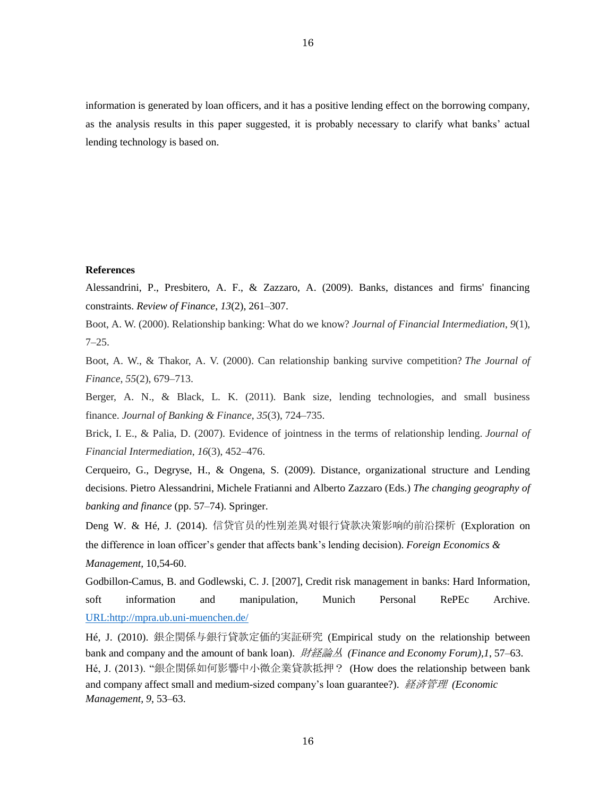information is generated by loan officers, and it has a positive lending effect on the borrowing company, as the analysis results in this paper suggested, it is probably necessary to clarify what banks' actual lending technology is based on.

# **References**

Alessandrini, P., Presbitero, A. F., & Zazzaro, A. (2009). Banks, distances and firms' financing constraints. *Review of Finance*, *13*(2), 261–307.

Boot, A. W. (2000). Relationship banking: What do we know? *Journal of Financial Intermediation*, *9*(1),  $7 - 25.$ 

Boot, A. W., & Thakor, A. V. (2000). Can relationship banking survive competition? *The Journal of Finance*, *55*(2), 679–713.

Berger, A. N., & Black, L. K. (2011). Bank size, lending technologies, and small business finance. *Journal of Banking & Finance*, *35*(3), 724–735.

Brick, I. E., & Palia, D. (2007). Evidence of jointness in the terms of relationship lending. *Journal of Financial Intermediation*, *16*(3), 452–476.

Cerqueiro, G., Degryse, H., & Ongena, S. (2009). Distance, organizational structure and Lending decisions. Pietro Alessandrini, Michele Fratianni and Alberto Zazzaro (Eds.) *The changing geography of banking and finance* (pp. 57–74). Springer.

Deng W. & Hé, J. (2014). 信贷官员的性别差異对银行貸款决策影响的前沿探析 (Exploration on the difference in loan officer's gender that affects bank's lending decision). *Foreign Economics & Management,* 10,54-60.

Godbillon-Camus, B. and Godlewski, C. J. [2007], Credit risk management in banks: Hard Information, soft information and manipulation, Munich Personal RePEc Archive. [URL:http://mpra.ub.uni-muenchen.de/](http://mpra.ub.uni-muenchen.de/)

Hé, J. (2010). 銀企関係与銀行貸款定価的実証研究 (Empirical study on the relationship between bank and company and the amount of bank loan). 財経論丛 *(Finance and Economy Forum),1*, 57–63. Hé, J. (2013). "銀企関係如何影響中小微企業貸款抵押? (How does the relationship between bank and company affect small and medium-sized company's loan guarantee?). 経済管理 *(Economic Management, 9*, 53–63.